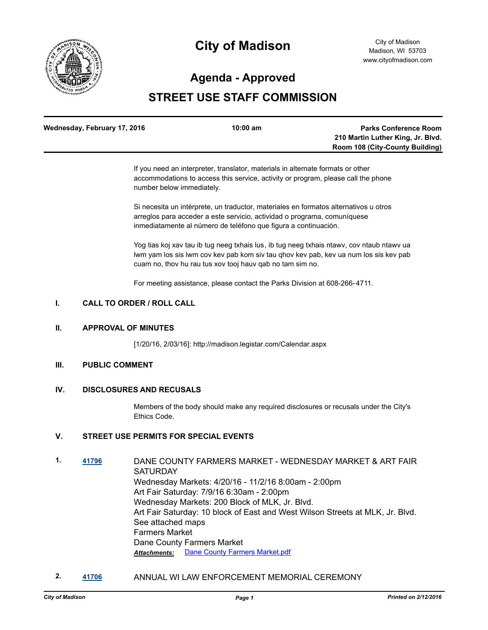

# **City of Madison**

# **Agenda - Approved**

# **STREET USE STAFF COMMISSION**

| Wednesday, February 17, 2016 | $10:00 \text{ am}$ | <b>Parks Conference Room</b>           |
|------------------------------|--------------------|----------------------------------------|
|                              |                    | 210 Martin Luther King, Jr. Blvd.      |
|                              |                    | <b>Room 108 (City-County Building)</b> |

If you need an interpreter, translator, materials in alternate formats or other accommodations to access this service, activity or program, please call the phone number below immediately.

Si necesita un intérprete, un traductor, materiales en formatos alternativos u otros arreglos para acceder a este servicio, actividad o programa, comuníquese inmediatamente al número de teléfono que figura a continuación.

Yog tias koj xav tau ib tug neeg txhais lus, ib tug neeg txhais ntawv, cov ntaub ntawv ua lwm yam los sis lwm cov kev pab kom siv tau qhov kev pab, kev ua num los sis kev pab cuam no, thov hu rau tus xov tooj hauv qab no tam sim no.

For meeting assistance, please contact the Parks Division at 608-266-4711.

### **I. CALL TO ORDER / ROLL CALL**

#### **II. APPROVAL OF MINUTES**

[1/20/16, 2/03/16]: http://madison.legistar.com/Calendar.aspx

#### **III. PUBLIC COMMENT**

#### **IV. DISCLOSURES AND RECUSALS**

Members of the body should make any required disclosures or recusals under the City's Ethics Code.

## **V. STREET USE PERMITS FOR SPECIAL EVENTS**

- **1. [41796](http://madison.legistar.com/gateway.aspx?m=l&id=/matter.aspx?key=46138)** DANE COUNTY FARMERS MARKET WEDNESDAY MARKET & ART FAIR **SATURDAY** Wednesday Markets: 4/20/16 - 11/2/16 8:00am - 2:00pm Art Fair Saturday: 7/9/16 6:30am - 2:00pm Wednesday Markets: 200 Block of MLK, Jr. Blvd. Art Fair Saturday: 10 block of East and West Wilson Streets at MLK, Jr. Blvd. See attached maps Farmers Market Dane County Farmers Market *Attachments:* [Dane County Farmers Market.pdf](http://madison.legistar.com/gateway.aspx?M=F&ID=3cc3c299-d0f5-491e-9ed4-14e57a64aef9.pdf)
- **2. [41706](http://madison.legistar.com/gateway.aspx?m=l&id=/matter.aspx?key=46063)** ANNUAL WI LAW ENFORCEMENT MEMORIAL CEREMONY